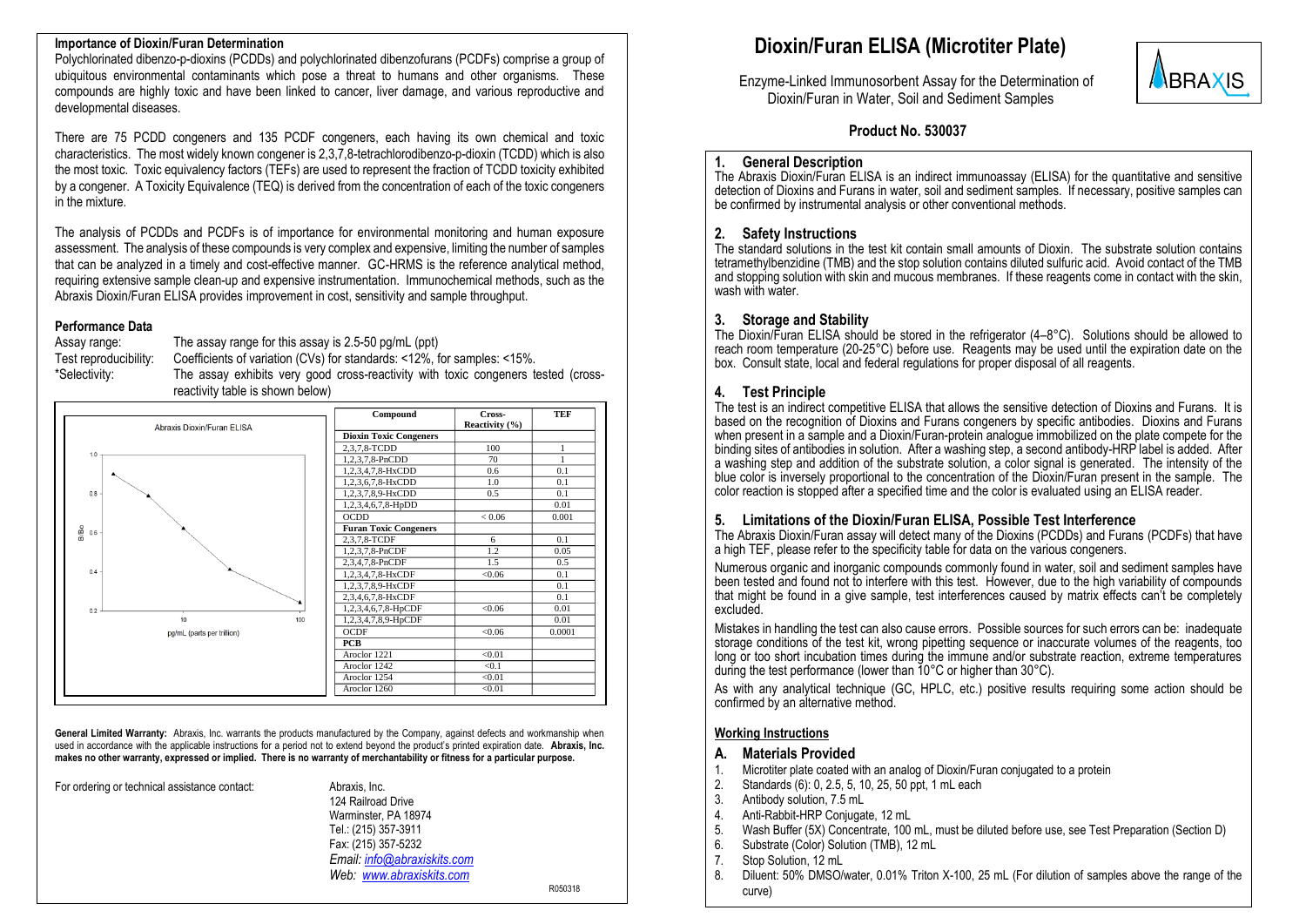#### **Importance of Dioxin/Furan Determination**

Polychlorinated dibenzo-p-dioxins (PCDDs) and polychlorinated dibenzofurans (PCDFs) comprise a group of ubiquitous environmental contaminants which pose a threat to humans and other organisms. These compounds are highly toxic and have been linked to cancer, liver damage, and various reproductive and developmental diseases.

There are 75 PCDD congeners and 135 PCDF congeners, each having its own chemical and toxic characteristics. The most widely known congener is 2,3,7,8-tetrachlorodibenzo-p-dioxin (TCDD) which is also the most toxic. Toxic equivalency factors (TEFs) are used to represent the fraction of TCDD toxicity exhibited by a congener. A Toxicity Equivalence (TEQ) is derived from the concentration of each of the toxic congeners in the mixture.

The analysis of PCDDs and PCDFs is of importance for environmental monitoring and human exposure assessment. The analysis of these compounds is very complex and expensive, limiting the number of samples that can be analyzed in a timely and cost-effective manner. GC-HRMS is the reference analytical method, requiring extensive sample clean-up and expensive instrumentation. Immunochemical methods, such as the Abraxis Dioxin/Furan ELISA provides improvement in cost, sensitivity and sample throughput.

#### **Performance Data**

Assay range: The assay range for this assay is 2.5-50 pg/mL (ppt) Test reproducibility: Coefficients of variation (CVs) for standards: <12%, for samples: <15%. The assay exhibits very good cross-reactivity with toxic congeners tested (crossreactivity table is shown below)



General Limited Warranty: Abraxis, Inc. warrants the products manufactured by the Company, against defects and workmanship when used in accordance with the applicable instructions for a period not to extend beyond the product's printed expiration date. **Abraxis, Inc. makes no other warranty, expressed or implied. There is no warranty of merchantability or fitness for a particular purpose.**

For ordering or technical assistance contact: Abraxis, Inc.

124 Railroad Drive Warminster, PA 18974 Tel.: (215) 357-3911 Fax: (215) 357-5232 *Email: [info@abraxiskits.com](mailto:info@abraxiskits.com) Web: [www.abraxiskits.com](http://www.abraxiskits.com/)*

R050318

# **Dioxin/Furan ELISA (Microtiter Plate)**

 Enzyme-Linked Immunosorbent Assay for the Determination of Dioxin/Furan in Water, Soil and Sediment Samples



### **Product No. 530037**

#### **1. General Description**

The Abraxis Dioxin/Furan ELISA is an indirect immunoassay (ELISA) for the quantitative and sensitive detection of Dioxins and Furans in water, soil and sediment samples. If necessary, positive samples can be confirmed by instrumental analysis or other conventional methods.

#### **2. Safety Instructions**

The standard solutions in the test kit contain small amounts of Dioxin. The substrate solution contains tetramethylbenzidine (TMB) and the stop solution contains diluted sulfuric acid. Avoid contact of the TMB and stopping solution with skin and mucous membranes. If these reagents come in contact with the skin, wash with water.

#### **3. Storage and Stability**

The Dioxin/Furan ELISA should be stored in the refrigerator  $(4-8^{\circ}C)$ . Solutions should be allowed to reach room temperature (20-25°C) before use. Reagents may be used until the expiration date on the box. Consult state, local and federal regulations for proper disposal of all reagents.

# **4. Test Principle**

The test is an indirect competitive ELISA that allows the sensitive detection of Dioxins and Furans. It is based on the recognition of Dioxins and Furans congeners by specific antibodies. Dioxins and Furans when present in a sample and a Dioxin/Furan-protein analogue immobilized on the plate compete for the binding sites of antibodies in solution. After a washing step, a second antibody-HRP label is added. After a washing step and addition of the substrate solution, a color signal is generated. The intensity of the blue color is inversely proportional to the concentration of the Dioxin/Furan present in the sample. The color reaction is stopped after a specified time and the color is evaluated using an ELISA reader.

#### **5. Limitations of the Dioxin/Furan ELISA, Possible Test Interference**

The Abraxis Dioxin/Furan assay will detect many of the Dioxins (PCDDs) and Furans (PCDFs) that have a high TEF, please refer to the specificity table for data on the various congeners.

Numerous organic and inorganic compounds commonly found in water, soil and sediment samples have been tested and found not to interfere with this test. However, due to the high variability of compounds that might be found in a give sample, test interferences caused by matrix effects can't be completely excluded.

Mistakes in handling the test can also cause errors. Possible sources for such errors can be: inadequate storage conditions of the test kit, wrong pipetting sequence or inaccurate volumes of the reagents, too long or too short incubation times during the immune and/or substrate reaction, extreme temperatures during the test performance (lower than 10°C or higher than 30°C).

As with any analytical technique (GC, HPLC, etc.) positive results requiring some action should be confirmed by an alternative method.

#### **Working Instructions**

#### **A. Materials Provided**

- 1. Microtiter plate coated with an analog of Dioxin/Furan conjugated to a protein
- 2. Standards (6): 0, 2.5, 5, 10, 25, 50 ppt, 1 mL each
- 3. Antibody solution, 7.5 mL
- 4. Anti-Rabbit-HRP Conjugate, 12 mL
- 5. Wash Buffer (5X) Concentrate, 100 mL, must be diluted before use, see Test Preparation (Section D)
- 6. Substrate (Color) Solution (TMB), 12 mL
- 7. Stop Solution, 12 mL
- 8. Diluent: 50% DMSO/water, 0.01% Triton X-100, 25 mL (For dilution of samples above the range of the curve)